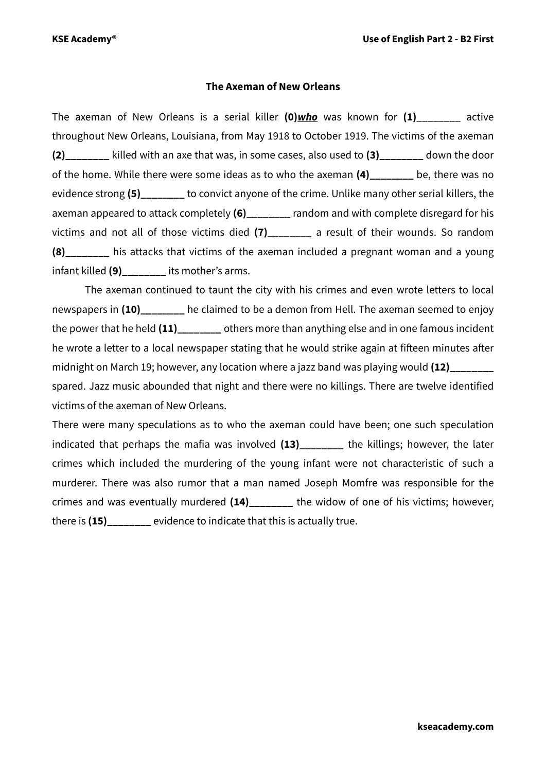## **The Axeman of New Orleans**

The axeman of New Orleans is a serial killer **(0)***who* was known for **(1)**\_\_\_\_\_\_\_\_ active throughout New Orleans, Louisiana, from May 1918 to October 1919. The victims of the axeman **(2)\_\_\_\_\_\_\_\_** killed with an axe that was, in some cases, also used to **(3)\_\_\_\_\_\_\_\_** down the door of the home. While there were some ideas as to who the axeman **(4)\_\_\_\_\_\_\_\_** be, there was no evidence strong **(5)\_\_\_\_\_\_\_\_** to convict anyone of the crime. Unlike many other serial killers, the axeman appeared to attack completely (6) axeman and with complete disregard for his victims and not all of those victims died **(7)\_\_\_\_\_\_\_\_** a result of their wounds. So random **(8)** his attacks that victims of the axeman included a pregnant woman and a young infant killed **(9)\_\_\_\_\_\_\_\_** its mother's arms.

The axeman continued to taunt the city with his crimes and even wrote letters to local newspapers in (10) he claimed to be a demon from Hell. The axeman seemed to enjoy the power that he held **(11)\_\_\_\_\_\_\_\_** others more than anything else and in one famous incident he wrote a letter to a local newspaper stating that he would strike again at fifteen minutes after midnight on March 19; however, any location where a jazz band was playing would (12) spared. Jazz music abounded that night and there were no killings. There are twelve identified victims of the axeman of New Orleans.

There were many speculations as to who the axeman could have been; one such speculation indicated that perhaps the mafia was involved **(13)\_\_\_\_\_\_\_\_** the killings; however, the later crimes which included the murdering of the young infant were not characteristic of such a murderer. There was also rumor that a man named Joseph Momfre was responsible for the crimes and was eventually murdered **(14)\_\_\_\_\_\_\_\_** the widow of one of his victims; however, there is **(15)\_\_\_\_\_\_\_\_** evidence to indicate that this is actually true.